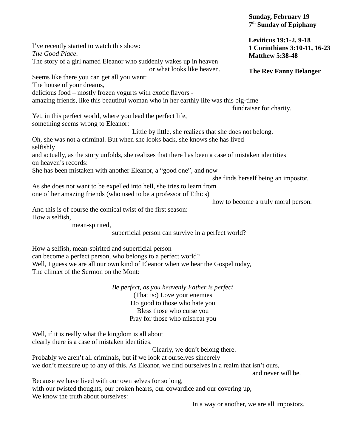|                                                                                                                            | <b>Sunday, February 19</b><br>7 <sup>th</sup> Sunday of Epiphany |
|----------------------------------------------------------------------------------------------------------------------------|------------------------------------------------------------------|
| I've recently started to watch this show:                                                                                  | <b>Leviticus 19:1-2, 9-18</b><br>1 Corinthians 3:10-11, 16-23    |
| The Good Place.                                                                                                            | <b>Matthew 5:38-48</b>                                           |
| The story of a girl named Eleanor who suddenly wakes up in heaven -                                                        |                                                                  |
| or what looks like heaven.                                                                                                 | <b>The Rev Fanny Belanger</b>                                    |
| Seems like there you can get all you want:                                                                                 |                                                                  |
| The house of your dreams,                                                                                                  |                                                                  |
| delicious food - mostly frozen yogurts with exotic flavors -                                                               |                                                                  |
| amazing friends, like this beautiful woman who in her earthly life was this big-time                                       | fundraiser for charity.                                          |
| Yet, in this perfect world, where you lead the perfect life,                                                               |                                                                  |
| something seems wrong to Eleanor:                                                                                          |                                                                  |
| Little by little, she realizes that she does not belong.                                                                   |                                                                  |
| Oh, she was not a criminal. But when she looks back, she knows she has lived                                               |                                                                  |
| selfishly                                                                                                                  |                                                                  |
| and actually, as the story unfolds, she realizes that there has been a case of mistaken identities<br>on heaven's records: |                                                                  |
| She has been mistaken with another Eleanor, a "good one", and now                                                          |                                                                  |
|                                                                                                                            | she finds herself being an impostor.                             |
| As she does not want to be expelled into hell, she tries to learn from                                                     |                                                                  |
| one of her amazing friends (who used to be a professor of Ethics)                                                          |                                                                  |
|                                                                                                                            | how to become a truly moral person.                              |
| And this is of course the comical twist of the first season:                                                               |                                                                  |
| How a selfish,                                                                                                             |                                                                  |
| mean-spirited,                                                                                                             |                                                                  |
| superficial person can survive in a perfect world?                                                                         |                                                                  |
|                                                                                                                            |                                                                  |
| How a selfish, mean-spirited and superficial person                                                                        |                                                                  |
| can become a perfect person, who belongs to a perfect world?                                                               |                                                                  |
| Well, I guess we are all our own kind of Eleanor when we hear the Gospel today,                                            |                                                                  |
| The climax of the Sermon on the Mont:                                                                                      |                                                                  |
|                                                                                                                            |                                                                  |
| Be perfect, as you heavenly Father is perfect                                                                              |                                                                  |
| (That is:) Love your enemies                                                                                               |                                                                  |
| Do good to those who hate you                                                                                              |                                                                  |
| Bless those who curse you                                                                                                  |                                                                  |
| Pray for those who mistreat you                                                                                            |                                                                  |
|                                                                                                                            |                                                                  |
| Well, if it is really what the kingdom is all about                                                                        |                                                                  |
| clearly there is a case of mistaken identities.                                                                            |                                                                  |
| Clearly, we don't belong there.                                                                                            |                                                                  |
| Probably we aren't all criminals, but if we look at ourselves sincerely                                                    |                                                                  |
| we don't measure up to any of this. As Eleanor, we find ourselves in a realm that isn't ours,                              |                                                                  |
|                                                                                                                            | and never will be.                                               |
| Because we have lived with our own selves for so long,                                                                     |                                                                  |

with our twisted thoughts, our broken hearts, our cowardice and our covering up, We know the truth about ourselves:

In a way or another, we are all impostors.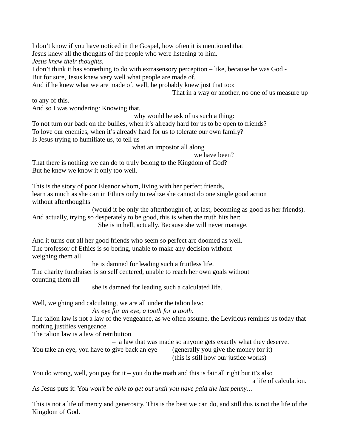I don't know if you have noticed in the Gospel, how often it is mentioned that Jesus knew all the thoughts of the people who were listening to him. *Jesus knew their thoughts.*

I don't think it has something to do with extrasensory perception – like, because he was God - But for sure, Jesus knew very well what people are made of.

And if he knew what we are made of, well, he probably knew just that too:

That in a way or another, no one of us measure up

to any of this. And so I was wondering: Knowing that,

why would he ask of us such a thing:

To not turn our back on the bullies, when it's already hard for us to be open to friends? To love our enemies, when it's already hard for us to tolerate our own family? Is Jesus trying to humiliate us, to tell us

what an impostor all along

we have been?

That there is nothing we can do to truly belong to the Kingdom of God? But he knew we know it only too well.

This is the story of poor Eleanor whom, living with her perfect friends, learn as much as she can in Ethics only to realize she cannot do one single good action without afterthoughts

(would it be only the afterthought of, at last, becoming as good as her friends). And actually, trying so desperately to be good, this is when the truth hits her: She is in hell, actually. Because she will never manage.

And it turns out all her good friends who seem so perfect are doomed as well. The professor of Ethics is so boring, unable to make any decision without weighing them all

he is damned for leading such a fruitless life.

The charity fundraiser is so self centered, unable to reach her own goals without counting them all

she is damned for leading such a calculated life.

Well, weighing and calculating, we are all under the talion law:

*An eye for an eye, a tooth for a tooth.*

The talion law is not a law of the vengeance, as we often assume, the Leviticus reminds us today that nothing justifies vengeance.

The talion law is a law of retribution

– a law that was made so anyone gets exactly what they deserve.

You take an eye, you have to give back an eye (generally you give the money for it)

(this is still how our justice works)

You do wrong, well, you pay for it – you do the math and this is fair all right but it's also a life of calculation.

As Jesus puts it: Yo*u won't be able to get out until you have paid the last penny…*

This is not a life of mercy and generosity. This is the best we can do, and still this is not the life of the Kingdom of God.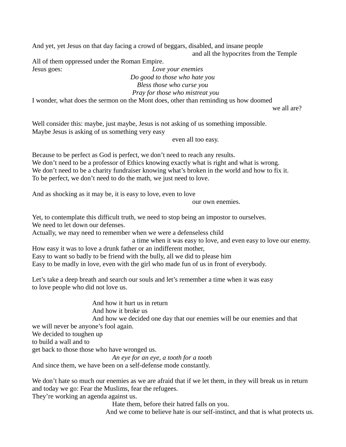And yet, yet Jesus on that day facing a crowd of beggars, disabled, and insane people and all the hypocrites from the Temple

All of them oppressed under the Roman Empire. Jesus goes: *Love your enemies*

*Do good to those who hate you Bless those who curse you*

## *Pray for those who mistreat you*

I wonder, what does the sermon on the Mont does, other than reminding us how doomed

we all are?

Well consider this: maybe, just maybe, Jesus is not asking of us something impossible. Maybe Jesus is asking of us something very easy

even all too easy.

Because to be perfect as God is perfect, we don't need to reach any results. We don't need to be a professor of Ethics knowing exactly what is right and what is wrong. We don't need to be a charity fundraiser knowing what's broken in the world and how to fix it. To be perfect, we don't need to do the math, we just need to love.

And as shocking as it may be, it is easy to love, even to love

our own enemies.

Yet, to contemplate this difficult truth, we need to stop being an impostor to ourselves. We need to let down our defenses.

Actually, we may need to remember when we were a defenseless child

a time when it was easy to love, and even easy to love our enemy.

How easy it was to love a drunk father or an indifferent mother, Easy to want so badly to be friend with the bully, all we did to please him Easy to be madly in love, even with the girl who made fun of us in front of everybody.

Let's take a deep breath and search our souls and let's remember a time when it was easy to love people who did not love us.

And how it hurt us in return And how it broke us And how we decided one day that our enemies will be our enemies and that we will never be anyone's fool again. We decided to toughen up to build a wall and to get back to those those who have wronged us. *An eye for an eye, a tooth for a tooth*

And since them, we have been on a self-defense mode constantly.

We don't hate so much our enemies as we are afraid that if we let them, in they will break us in return and today we go: Fear the Muslims, fear the refugees.

They're working an agenda against us.

Hate them, before their hatred falls on you.

And we come to believe hate is our self-instinct, and that is what protects us.